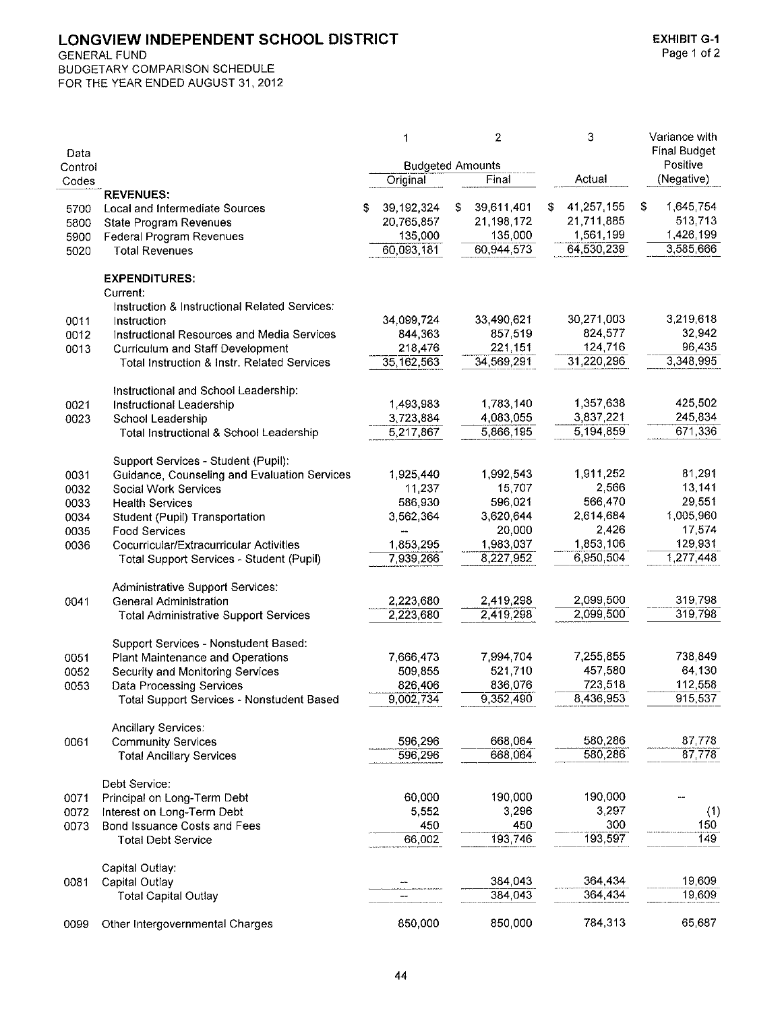**GENERAL FUND** 

BUDGETARY COMPARISON SCHEDULE FOR THE YEAR ENDED AUGUST 31, 2012

|         |                                                           |    | 1                       | 2                | 3                | Variance with       |
|---------|-----------------------------------------------------------|----|-------------------------|------------------|------------------|---------------------|
| Data    |                                                           |    |                         |                  |                  | <b>Final Budget</b> |
| Control |                                                           |    | <b>Budgeted Amounts</b> |                  |                  | Positive            |
| Codes   |                                                           |    | Original                | Final            | Actual           | (Negative)          |
| 5700    | <b>REVENUES:</b><br><b>Local and Intermediate Sources</b> | S. | 39,192,324              | \$<br>39,611,401 | \$<br>41,257,155 | \$<br>1,645,754     |
| 5800    | <b>State Program Revenues</b>                             |    | 20,765,857              | 21,198,172       | 21,711,885       | 513,713             |
| 5900    | Federal Program Revenues                                  |    | 135,000                 | 135,000          | 1,561,199        | 1,426,199           |
| 5020    | <b>Total Revenues</b>                                     |    | 60,093,181              | 60,944,573       | 64,530,239       | 3,585,666           |
|         |                                                           |    |                         |                  |                  |                     |
|         | <b>EXPENDITURES:</b>                                      |    |                         |                  |                  |                     |
|         | Current:                                                  |    |                         |                  |                  |                     |
|         | Instruction & Instructional Related Services:             |    |                         |                  |                  |                     |
| 0011    | Instruction                                               |    | 34.099,724              | 33,490,621       | 30,271,003       | 3,219,618           |
| 0012    | Instructional Resources and Media Services                |    | 844,363                 | 857,519          | 824,577          | 32,942              |
| 0013    | Curriculum and Staff Development                          |    | 218,476                 | 221,151          | 124,716          | 96,435              |
|         | <b>Total Instruction &amp; Instr. Related Services</b>    |    | 35, 162, 563            | 34,569,291       | 31,220,296       | 3,348,995           |
|         | Instructional and School Leadership:                      |    |                         |                  |                  |                     |
| 0021    | Instructional Leadership                                  |    | 1,493,983               | 1,783,140        | 1,357,638        | 425,502             |
| 0023    | School Leadership                                         |    | 3,723,884               | 4,083,055        | 3,837,221        | 245,834             |
|         | Total Instructional & School Leadership                   |    | 5,217,867               | 5,866,195        | 5,194,859        | 671,336             |
|         |                                                           |    |                         |                  |                  |                     |
|         | Support Services - Student (Pupil):                       |    |                         |                  |                  |                     |
| 0031    | Guidance, Counseling and Evaluation Services              |    | 1,925,440               | 1,992,543        | 1,911,252        | 81,291              |
| 0032    | Social Work Services                                      |    | 11,237                  | 15,707           | 2,566            | 13,141              |
| 0033    | <b>Health Services</b>                                    |    | 586,930                 | 596,021          | 566,470          | 29,551              |
| 0034    | Student (Pupil) Transportation                            |    | 3,562,364               | 3,620,644        | 2,614,684        | 1,005,960           |
| 0035    | Food Services                                             |    |                         | 20,000           | 2,426            | 17,574              |
| 0036    | Cocurricular/Extracurricular Activities                   |    | 1,853,295               | 1,983,037        | 1,853,106        | 129,931             |
|         | Total Support Services - Student (Pupil)                  |    | 7,939,266               | 8,227,952        | 6,950,504        | 1,277,448           |
|         | <b>Administrative Support Services:</b>                   |    |                         |                  |                  |                     |
| 0041    | <b>General Administration</b>                             |    | 2.223,680               | 2,419,298        | 2,099,500        | 319,798             |
|         | <b>Total Administrative Support Services</b>              |    | 2,223,680               | 2,419,298        | 2,099,500        | 319,798             |
|         |                                                           |    |                         |                  |                  |                     |
|         | Support Services - Nonstudent Based:                      |    |                         |                  |                  |                     |
| 0051    | Plant Maintenance and Operations                          |    | 7.666.473               | 7,994,704        | 7,255,855        | 738,849             |
| 0052    | Security and Monitoring Services                          |    | 509,855                 | 521,710          | 457,580          | 64,130              |
| 0053    | <b>Data Processing Services</b>                           |    | 826,406                 | 836,076          | 723,518          | 112,558             |
|         | Total Support Services - Nonstudent Based                 |    | 9,002,734               | 9,352,490        | 8,436,953        | 915,537             |
|         | <b>Ancillary Services:</b>                                |    |                         |                  |                  |                     |
| 0061    | <b>Community Services</b>                                 |    | 596,296                 | 668,064          | 580,286          | 87,778              |
|         | <b>Total Ancillary Services</b>                           |    | 596,296                 | 668,064          | 580,286          | 87,778              |
|         |                                                           |    |                         |                  |                  |                     |
|         | Debt Service:                                             |    |                         |                  |                  |                     |
| 0071    | Principal on Long-Term Debt                               |    | 60,000                  | 190,000          | 190,000          |                     |
| 0072    | Interest on Long-Term Debt                                |    | 5,552                   | 3,296            | 3,297            | (1)                 |
| 0073    | <b>Bond Issuance Costs and Fees</b>                       |    | 450                     | 450              | 300              | 150                 |
|         | <b>Total Debt Service</b>                                 |    | 66,002                  | 193,746          | 193,597          | 149                 |
|         | Capital Outlay:                                           |    |                         |                  |                  |                     |
| 0081    | Capital Outlay                                            |    |                         | 384,043          | 364,434          | 19,609              |
|         | <b>Total Capital Outlay</b>                               |    |                         | 384,043          | 364,434          | 19,609              |
|         |                                                           |    |                         |                  |                  |                     |
| 0099    | Other Intergovernmental Charges                           |    | 850,000                 | 850,000          | 784,313          | 65,687              |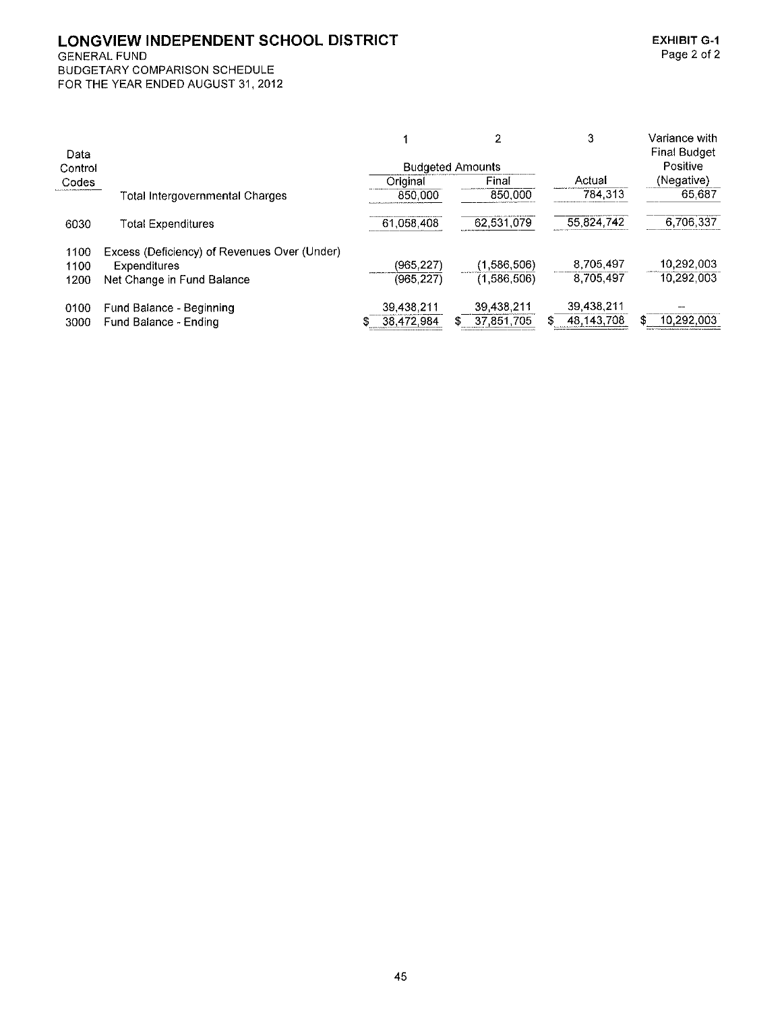GENERAL FUND

|         |                                              |            |                         | 3            | Variance with       |
|---------|----------------------------------------------|------------|-------------------------|--------------|---------------------|
| Data    |                                              |            |                         |              | <b>Final Budget</b> |
| Control |                                              |            | <b>Budgeted Amounts</b> |              | Positive            |
| Codes   |                                              | Original   | Final                   | Actual       | (Negative)          |
|         | Total Intergovernmental Charges              | 850,000    | 850,000                 | 784,313      | 65.687              |
| 6030    | <b>Total Expenditures</b>                    | 61,058,408 | 62,531,079              | 55,824,742   | 6,706,337           |
| 1100    | Excess (Deficiency) of Revenues Over (Under) |            |                         |              |                     |
| 1100    | <b>Expenditures</b>                          | (965, 227) | (1,586,506)             | 8,705,497    | 10,292,003          |
| 1200    | Net Change in Fund Balance                   | (965, 227) | (1,586,506)             | 8.705,497    | 10,292,003          |
| 0100    | Fund Balance - Beginning                     | 39,438,211 | 39.438.211              | 39,438,211   |                     |
| 3000    | Fund Balance - Ending                        | 38,472,984 | 37,851,705              | 48, 143, 708 | 10,292,003          |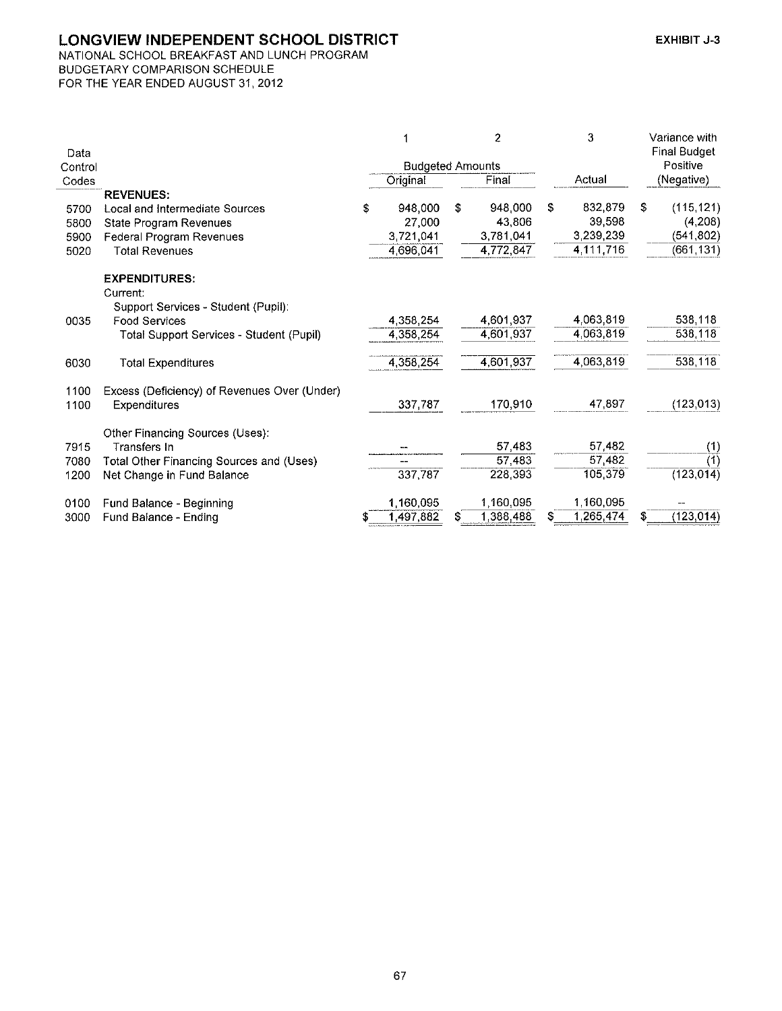NATIONAL SCHOOL BREAKFAST AND LUNCH PROGRAM BUDGETARY COMPARISON SCHEDULE FOR THE YEAR ENDED AUGUST 31, 2012

|                                          |                                                                                                                                                                                             |           |                                                  | $\overline{c}$ |                                                                    | 3         |                                                                              | Variance with       |  |
|------------------------------------------|---------------------------------------------------------------------------------------------------------------------------------------------------------------------------------------------|-----------|--------------------------------------------------|----------------|--------------------------------------------------------------------|-----------|------------------------------------------------------------------------------|---------------------|--|
|                                          |                                                                                                                                                                                             |           |                                                  |                |                                                                    |           |                                                                              | <b>Final Budget</b> |  |
|                                          | <b>Budgeted Amounts</b>                                                                                                                                                                     |           |                                                  |                |                                                                    |           |                                                                              | Positive            |  |
|                                          |                                                                                                                                                                                             | Original  |                                                  | Final          |                                                                    | Actual    |                                                                              | (Negative)          |  |
| <b>REVENUES:</b>                         |                                                                                                                                                                                             |           |                                                  |                |                                                                    |           |                                                                              |                     |  |
| Local and Intermediate Sources           | \$                                                                                                                                                                                          | 948,000   | \$                                               |                | \$                                                                 |           | \$                                                                           | (115, 121)          |  |
| <b>State Program Revenues</b>            |                                                                                                                                                                                             | 27,000    |                                                  | 43,806         |                                                                    |           |                                                                              | (4,208)             |  |
| Federal Program Revenues                 |                                                                                                                                                                                             |           |                                                  |                |                                                                    |           |                                                                              | (541,802)           |  |
| <b>Total Revenues</b>                    |                                                                                                                                                                                             |           |                                                  |                |                                                                    |           |                                                                              | (661,131)           |  |
| <b>EXPENDITURES:</b>                     |                                                                                                                                                                                             |           |                                                  |                |                                                                    |           |                                                                              |                     |  |
| Current:                                 |                                                                                                                                                                                             |           |                                                  |                |                                                                    |           |                                                                              |                     |  |
| Support Services - Student (Pupil):      |                                                                                                                                                                                             |           |                                                  |                |                                                                    |           |                                                                              |                     |  |
| <b>Food Services</b>                     |                                                                                                                                                                                             | 4.358,254 |                                                  | 4,601,937      |                                                                    | 4,063,819 |                                                                              | 538,118             |  |
| Total Support Services - Student (Pupil) |                                                                                                                                                                                             |           |                                                  | 4,601,937      |                                                                    | 4,063,819 |                                                                              | 538,118             |  |
| <b>Total Expenditures</b>                |                                                                                                                                                                                             | 4.358,254 |                                                  | 4,601,937      |                                                                    | 4,063,819 |                                                                              | 538,118             |  |
|                                          |                                                                                                                                                                                             |           |                                                  |                |                                                                    |           |                                                                              |                     |  |
| Expenditures                             |                                                                                                                                                                                             | 337,787   |                                                  | 170,910        |                                                                    | 47,897    |                                                                              | (123, 013)          |  |
|                                          |                                                                                                                                                                                             |           |                                                  |                |                                                                    |           |                                                                              |                     |  |
| <b>Transfers In</b>                      |                                                                                                                                                                                             | --        |                                                  |                |                                                                    |           |                                                                              | (1)                 |  |
|                                          |                                                                                                                                                                                             | --        |                                                  |                |                                                                    |           |                                                                              | (1)                 |  |
| Net Change in Fund Balance               |                                                                                                                                                                                             | 337,787   |                                                  | 228,393        |                                                                    | 105,379   |                                                                              | (123, 014)          |  |
|                                          |                                                                                                                                                                                             |           |                                                  |                |                                                                    |           |                                                                              |                     |  |
|                                          |                                                                                                                                                                                             | 1,497,882 | S                                                | 1,388,488      | S.                                                                 | 1,265,474 |                                                                              | (123, 014)          |  |
|                                          | Control<br>Excess (Deficiency) of Revenues Over (Under)<br>Other Financing Sources (Uses):<br>Total Other Financing Sources and (Uses)<br>Fund Balance - Beginning<br>Fund Balance - Ending |           | 3.721,041<br>4 696,041<br>4 358,254<br>1.160,095 |                | 948,000<br>3,781,041<br>4,772,847<br>57,483<br>57,483<br>1,160,095 |           | 832,879<br>39,598<br>3,239,239<br>4,111,716<br>57,482<br>57,482<br>1,160,095 |                     |  |